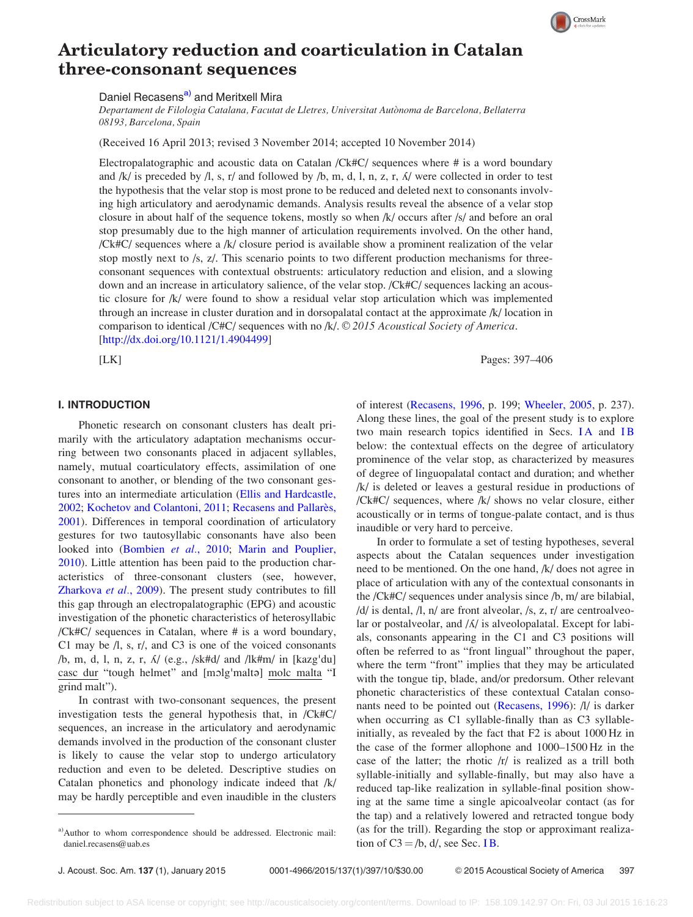Daniel Recasens<sup>a)</sup> and Meritxell Mira

Departament de Filologia Catalana, Facutat de Lletres, Universitat Autonoma de Barcelona, Bellaterra - 08193, Barcelona, Spain

(Received 16 April 2013; revised 3 November 2014; accepted 10 November 2014)

Electropalatographic and acoustic data on Catalan /Ck#C/ sequences where # is a word boundary and  $/k/$  is preceded by  $/l$ , s, r/ and followed by  $/b$ , m, d, l, n, z, r,  $\Lambda/$  were collected in order to test the hypothesis that the velar stop is most prone to be reduced and deleted next to consonants involving high articulatory and aerodynamic demands. Analysis results reveal the absence of a velar stop closure in about half of the sequence tokens, mostly so when /k/ occurs after /s/ and before an oral stop presumably due to the high manner of articulation requirements involved. On the other hand, /Ck#C/ sequences where a /k/ closure period is available show a prominent realization of the velar stop mostly next to /s, z/. This scenario points to two different production mechanisms for threeconsonant sequences with contextual obstruents: articulatory reduction and elision, and a slowing down and an increase in articulatory salience, of the velar stop. /Ck#C/ sequences lacking an acoustic closure for /k/ were found to show a residual velar stop articulation which was implemented through an increase in cluster duration and in dorsopalatal contact at the approximate /k/ location in comparison to identical /C#C/ sequences with no /k/.  $© 2015$  Acoustical Society of America. [[http://dx.doi.org/10.1121/1.4904499\]](http://dx.doi.org/10.1121/1.4904499)

## I. INTRODUCTION

Phonetic research on consonant clusters has dealt primarily with the articulatory adaptation mechanisms occurring between two consonants placed in adjacent syllables, namely, mutual coarticulatory effects, assimilation of one consonant to another, or blending of the two consonant gestures into an intermediate articulation [\(Ellis and Hardcastle,](#page-8-0) [2002;](#page-8-0) [Kochetov and Colantoni, 2011](#page-8-0); Recasens and Pallarès, [2001\)](#page-9-0). Differences in temporal coordination of articulatory gestures for two tautosyllabic consonants have also been looked into ([Bombien](#page-8-0) et al., 2010; [Marin and Pouplier,](#page-8-0) [2010\)](#page-8-0). Little attention has been paid to the production characteristics of three-consonant clusters (see, however, [Zharkova](#page-9-0) et al., 2009). The present study contributes to fill this gap through an electropalatographic (EPG) and acoustic investigation of the phonetic characteristics of heterosyllabic /Ck#C/ sequences in Catalan, where # is a word boundary, C1 may be /l, s, r/, and C3 is one of the voiced consonants /b, m, d, l, n, z, r,  $\Delta$ / (e.g., /sk#d/ and /lk#m/ in [kazg'du] casc dur "tough helmet" and [molg'malta] molc malta "I grind malt").

In contrast with two-consonant sequences, the present investigation tests the general hypothesis that, in /Ck#C/ sequences, an increase in the articulatory and aerodynamic demands involved in the production of the consonant cluster is likely to cause the velar stop to undergo articulatory reduction and even to be deleted. Descriptive studies on Catalan phonetics and phonology indicate indeed that /k/ may be hardly perceptible and even inaudible in the clusters

a)Author to whom correspondence should be addressed. Electronic mail: [daniel.recasens@uab.es](mailto:daniel.recasens@uab.es)

of interest ([Recasens, 1996,](#page-9-0) p. 199; [Wheeler, 2005](#page-9-0), p. 237). Along these lines, the goal of the present study is to explore two main research topics identified in Secs. IA and IB below: the contextual effects on the degree of articulatory prominence of the velar stop, as characterized by measures of degree of linguopalatal contact and duration; and whether /k/ is deleted or leaves a gestural residue in productions of /Ck#C/ sequences, where /k/ shows no velar closure, either acoustically or in terms of tongue-palate contact, and is thus inaudible or very hard to perceive.

In order to formulate a set of testing hypotheses, several aspects about the Catalan sequences under investigation need to be mentioned. On the one hand, /k/ does not agree in place of articulation with any of the contextual consonants in the /Ck#C/ sequences under analysis since /b, m/ are bilabial, /d/ is dental, /l, n/ are front alveolar, /s, z, r/ are centroalveolar or postalveolar, and  $/$  is alveolopalatal. Except for labials, consonants appearing in the C1 and C3 positions will often be referred to as "front lingual" throughout the paper, where the term "front" implies that they may be articulated with the tongue tip, blade, and/or predorsum. Other relevant phonetic characteristics of these contextual Catalan consonants need to be pointed out ([Recasens, 1996](#page-9-0)): /l/ is darker when occurring as C1 syllable-finally than as C3 syllableinitially, as revealed by the fact that F2 is about 1000 Hz in the case of the former allophone and 1000–1500 Hz in the case of the latter; the rhotic /r/ is realized as a trill both syllable-initially and syllable-finally, but may also have a reduced tap-like realization in syllable-final position showing at the same time a single apicoalveolar contact (as for the tap) and a relatively lowered and retracted tongue body (as for the trill). Regarding the stop or approximant realization of  $C3 = /b$ , d/, see Sec. IB.

[LK] Pages: 397–406



<span id="page-0-0"></span>Articulatory reduction and coarticulation in Catalan three-consonant sequences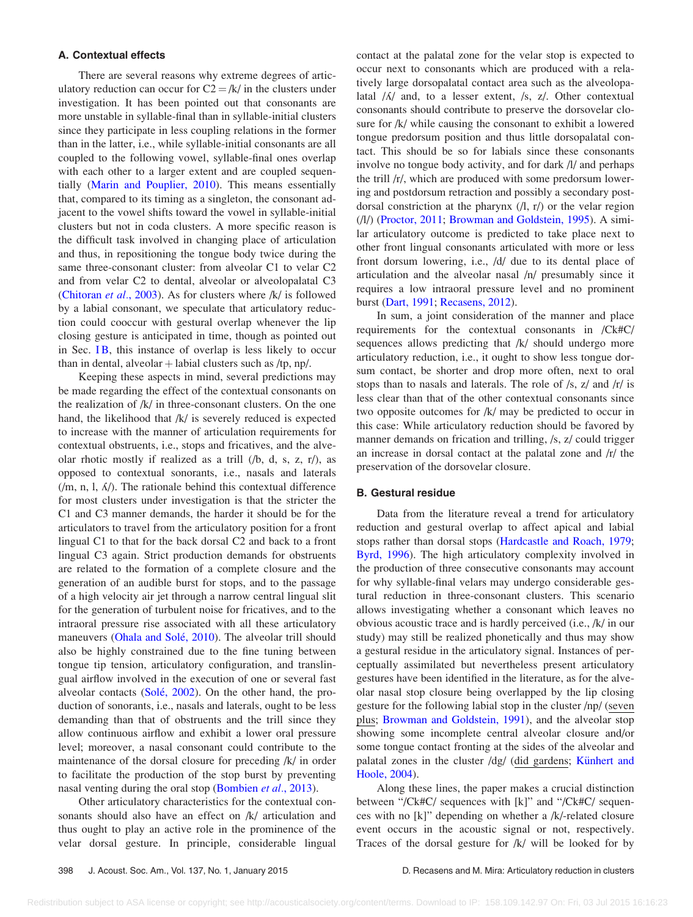## <span id="page-1-0"></span>A. Contextual effects

There are several reasons why extreme degrees of articulatory reduction can occur for  $C2 = \frac{1}{k}$  in the clusters under investigation. It has been pointed out that consonants are more unstable in syllable-final than in syllable-initial clusters since they participate in less coupling relations in the former than in the latter, i.e., while syllable-initial consonants are all coupled to the following vowel, syllable-final ones overlap with each other to a larger extent and are coupled sequentially [\(Marin and Pouplier, 2010\)](#page-8-0). This means essentially that, compared to its timing as a singleton, the consonant adjacent to the vowel shifts toward the vowel in syllable-initial clusters but not in coda clusters. A more specific reason is the difficult task involved in changing place of articulation and thus, in repositioning the tongue body twice during the same three-consonant cluster: from alveolar C1 to velar C2 and from velar C2 to dental, alveolar or alveolopalatal C3 ([Chitoran](#page-8-0) et al., 2003). As for clusters where /k/ is followed by a labial consonant, we speculate that articulatory reduction could cooccur with gestural overlap whenever the lip closing gesture is anticipated in time, though as pointed out in Sec.  $IB$ , this instance of overlap is less likely to occur than in dental, alveolar  $+$  labial clusters such as /tp, np/.

Keeping these aspects in mind, several predictions may be made regarding the effect of the contextual consonants on the realization of /k/ in three-consonant clusters. On the one hand, the likelihood that /k/ is severely reduced is expected to increase with the manner of articulation requirements for contextual obstruents, i.e., stops and fricatives, and the alveolar rhotic mostly if realized as a trill (/b, d, s, z, r/), as opposed to contextual sonorants, i.e., nasals and laterals  $($ /m, n, l,  $A$  $/$ ). The rationale behind this contextual difference for most clusters under investigation is that the stricter the C1 and C3 manner demands, the harder it should be for the articulators to travel from the articulatory position for a front lingual C1 to that for the back dorsal C2 and back to a front lingual C3 again. Strict production demands for obstruents are related to the formation of a complete closure and the generation of an audible burst for stops, and to the passage of a high velocity air jet through a narrow central lingual slit for the generation of turbulent noise for fricatives, and to the intraoral pressure rise associated with all these articulatory maneuvers [\(Ohala and Sol](#page-8-0)é[, 2010](#page-8-0)). The alveolar trill should also be highly constrained due to the fine tuning between tongue tip tension, articulatory configuration, and translingual airflow involved in the execution of one or several fast alveolar contacts ([Sol](#page-9-0)é[, 2002](#page-9-0)). On the other hand, the production of sonorants, i.e., nasals and laterals, ought to be less demanding than that of obstruents and the trill since they allow continuous airflow and exhibit a lower oral pressure level; moreover, a nasal consonant could contribute to the maintenance of the dorsal closure for preceding /k/ in order to facilitate the production of the stop burst by preventing nasal venting during the oral stop [\(Bombien](#page-8-0) et al., 2013).

Other articulatory characteristics for the contextual consonants should also have an effect on /k/ articulation and thus ought to play an active role in the prominence of the velar dorsal gesture. In principle, considerable lingual contact at the palatal zone for the velar stop is expected to occur next to consonants which are produced with a relatively large dorsopalatal contact area such as the alveolopalatal  $/\Delta/$  and, to a lesser extent,  $/s$ ,  $z/$ . Other contextual consonants should contribute to preserve the dorsovelar closure for /k/ while causing the consonant to exhibit a lowered tongue predorsum position and thus little dorsopalatal contact. This should be so for labials since these consonants involve no tongue body activity, and for dark /l/ and perhaps the trill /r/, which are produced with some predorsum lowering and postdorsum retraction and possibly a secondary postdorsal constriction at the pharynx  $(1, r)$  or the velar region (/l/) [\(Proctor, 2011](#page-9-0); [Browman and Goldstein, 1995](#page-8-0)). A similar articulatory outcome is predicted to take place next to other front lingual consonants articulated with more or less front dorsum lowering, i.e., /d/ due to its dental place of articulation and the alveolar nasal /n/ presumably since it requires a low intraoral pressure level and no prominent burst ([Dart, 1991;](#page-8-0) [Recasens, 2012](#page-9-0)).

In sum, a joint consideration of the manner and place requirements for the contextual consonants in /Ck#C/ sequences allows predicting that /k/ should undergo more articulatory reduction, i.e., it ought to show less tongue dorsum contact, be shorter and drop more often, next to oral stops than to nasals and laterals. The role of /s, z/ and /r/ is less clear than that of the other contextual consonants since two opposite outcomes for /k/ may be predicted to occur in this case: While articulatory reduction should be favored by manner demands on frication and trilling, /s, z/ could trigger an increase in dorsal contact at the palatal zone and /r/ the preservation of the dorsovelar closure.

#### B. Gestural residue

Data from the literature reveal a trend for articulatory reduction and gestural overlap to affect apical and labial stops rather than dorsal stops ([Hardcastle and Roach, 1979;](#page-8-0) [Byrd, 1996\)](#page-8-0). The high articulatory complexity involved in the production of three consecutive consonants may account for why syllable-final velars may undergo considerable gestural reduction in three-consonant clusters. This scenario allows investigating whether a consonant which leaves no obvious acoustic trace and is hardly perceived (i.e., /k/ in our study) may still be realized phonetically and thus may show a gestural residue in the articulatory signal. Instances of perceptually assimilated but nevertheless present articulatory gestures have been identified in the literature, as for the alveolar nasal stop closure being overlapped by the lip closing gesture for the following labial stop in the cluster /np/ (seven plus; [Browman and Goldstein, 1991](#page-8-0)), and the alveolar stop showing some incomplete central alveolar closure and/or some tongue contact fronting at the sides of the alveolar and palatal zones in the cluster  $\frac{dg}{dg}$  (did gardens; [K](#page-8-0)ünhert and [Hoole, 2004\)](#page-8-0).

Along these lines, the paper makes a crucial distinction between "/Ck#C/ sequences with [k]" and "/Ck#C/ sequences with no [k]" depending on whether a /k/-related closure event occurs in the acoustic signal or not, respectively. Traces of the dorsal gesture for /k/ will be looked for by

Redistribution subject to ASA license or copyright; see http://acousticalsociety.org/content/terms. Download to IP: 158.109.142.97 On: Fri, 03 Jul 2015 16:16:23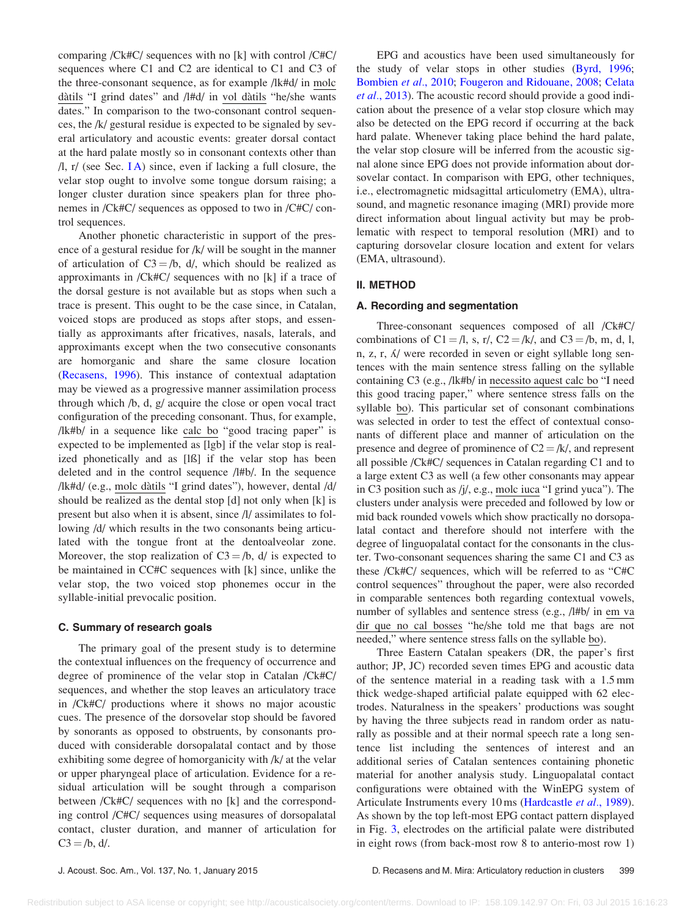<span id="page-2-0"></span>comparing /Ck#C/ sequences with no [k] with control /C#C/ sequences where C1 and C2 are identical to C1 and C3 of the three-consonant sequence, as for example /lk#d/ in molc dàtils "I grind dates" and /l#d/ in vol dàtils "he/she wants dates." In comparison to the two-consonant control sequences, the /k/ gestural residue is expected to be signaled by several articulatory and acoustic events: greater dorsal contact at the hard palate mostly so in consonant contexts other than  $\Lambda$ , r/ (see Sec. IA) since, even if lacking a full closure, the velar stop ought to involve some tongue dorsum raising; a longer cluster duration since speakers plan for three phonemes in /Ck#C/ sequences as opposed to two in /C#C/ control sequences.

Another phonetic characteristic in support of the presence of a gestural residue for /k/ will be sought in the manner of articulation of  $C3 = /b$ , d/, which should be realized as approximants in /Ck#C/ sequences with no [k] if a trace of the dorsal gesture is not available but as stops when such a trace is present. This ought to be the case since, in Catalan, voiced stops are produced as stops after stops, and essentially as approximants after fricatives, nasals, laterals, and approximants except when the two consecutive consonants are homorganic and share the same closure location ([Recasens, 1996](#page-9-0)). This instance of contextual adaptation may be viewed as a progressive manner assimilation process through which /b, d, g/ acquire the close or open vocal tract configuration of the preceding consonant. Thus, for example, /lk#b/ in a sequence like calc bo "good tracing paper" is expected to be implemented as [lgb] if the velar stop is realized phonetically and as [lß] if the velar stop has been deleted and in the control sequence /l#b/. In the sequence /lk#d/ (e.g., molc dàtils "I grind dates"), however, dental /d/ should be realized as the dental stop [d] not only when [k] is present but also when it is absent, since /l/ assimilates to following /d/ which results in the two consonants being articulated with the tongue front at the dentoalveolar zone. Moreover, the stop realization of  $C3 = /b$ , d/ is expected to be maintained in CC#C sequences with [k] since, unlike the velar stop, the two voiced stop phonemes occur in the syllable-initial prevocalic position.

### C. Summary of research goals

The primary goal of the present study is to determine the contextual influences on the frequency of occurrence and degree of prominence of the velar stop in Catalan /Ck#C/ sequences, and whether the stop leaves an articulatory trace in /Ck#C/ productions where it shows no major acoustic cues. The presence of the dorsovelar stop should be favored by sonorants as opposed to obstruents, by consonants produced with considerable dorsopalatal contact and by those exhibiting some degree of homorganicity with /k/ at the velar or upper pharyngeal place of articulation. Evidence for a residual articulation will be sought through a comparison between /Ck#C/ sequences with no [k] and the corresponding control /C#C/ sequences using measures of dorsopalatal contact, cluster duration, and manner of articulation for  $C3 = /b, d/$ .

EPG and acoustics have been used simultaneously for the study of velar stops in other studies ([Byrd, 1996;](#page-8-0) [Bombien](#page-8-0) et al., 2010; [Fougeron and Ridouane, 2008](#page-8-0); [Celata](#page-8-0) et al.[, 2013](#page-8-0)). The acoustic record should provide a good indication about the presence of a velar stop closure which may also be detected on the EPG record if occurring at the back hard palate. Whenever taking place behind the hard palate, the velar stop closure will be inferred from the acoustic signal alone since EPG does not provide information about dorsovelar contact. In comparison with EPG, other techniques, i.e., electromagnetic midsagittal articulometry (EMA), ultrasound, and magnetic resonance imaging (MRI) provide more direct information about lingual activity but may be problematic with respect to temporal resolution (MRI) and to capturing dorsovelar closure location and extent for velars (EMA, ultrasound).

# II. METHOD

### A. Recording and segmentation

Three-consonant sequences composed of all /Ck#C/ combinations of C1 = /l, s, r/, C2 = /k/, and C3 = /b, m, d, l, n, z, r,  $\Delta$ / were recorded in seven or eight syllable long sentences with the main sentence stress falling on the syllable containing C3 (e.g., /lk#b/ in necessito aquest calc bo "I need this good tracing paper," where sentence stress falls on the syllable bo). This particular set of consonant combinations was selected in order to test the effect of contextual consonants of different place and manner of articulation on the presence and degree of prominence of  $C2 = \frac{1}{k}$ , and represent all possible /Ck#C/ sequences in Catalan regarding C1 and to a large extent C3 as well (a few other consonants may appear in C3 position such as /j/, e.g., molc iuca "I grind yuca"). The clusters under analysis were preceded and followed by low or mid back rounded vowels which show practically no dorsopalatal contact and therefore should not interfere with the degree of linguopalatal contact for the consonants in the cluster. Two-consonant sequences sharing the same C1 and C3 as these /Ck#C/ sequences, which will be referred to as "C#C control sequences" throughout the paper, were also recorded in comparable sentences both regarding contextual vowels, number of syllables and sentence stress (e.g., /l#b/ in em va dir que no cal bosses "he/she told me that bags are not needed," where sentence stress falls on the syllable bo).

Three Eastern Catalan speakers (DR, the paper's first author; JP, JC) recorded seven times EPG and acoustic data of the sentence material in a reading task with a 1.5 mm thick wedge-shaped artificial palate equipped with 62 electrodes. Naturalness in the speakers' productions was sought by having the three subjects read in random order as naturally as possible and at their normal speech rate a long sentence list including the sentences of interest and an additional series of Catalan sentences containing phonetic material for another analysis study. Linguopalatal contact configurations were obtained with the WinEPG system of Articulate Instruments every 10 ms [\(Hardcastle](#page-8-0) et al., 1989). As shown by the top left-most EPG contact pattern displayed in Fig. [3,](#page-5-0) electrodes on the artificial palate were distributed in eight rows (from back-most row 8 to anterio-most row 1)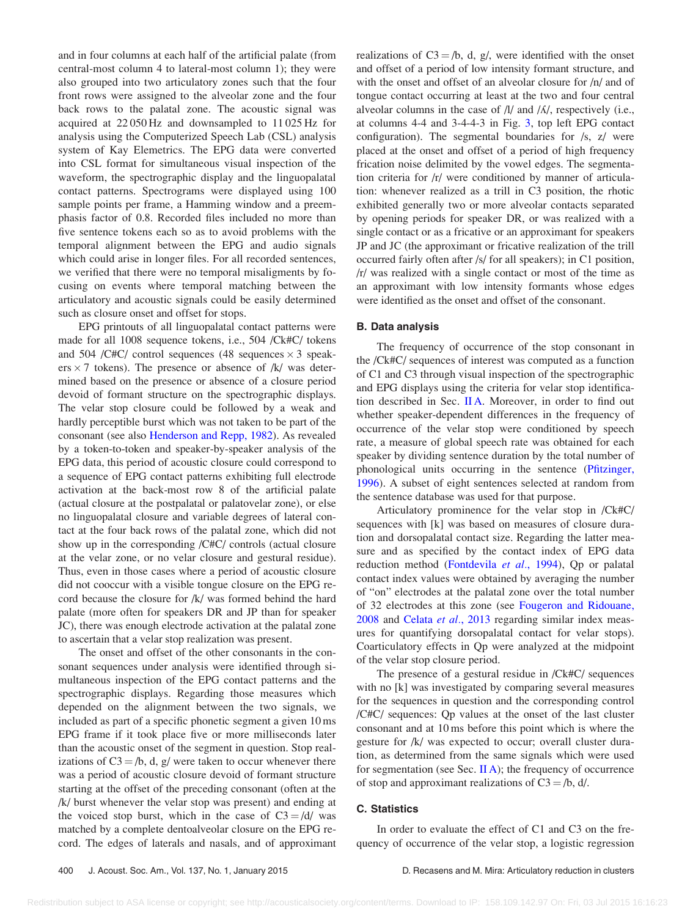and in four columns at each half of the artificial palate (from central-most column 4 to lateral-most column 1); they were also grouped into two articulatory zones such that the four front rows were assigned to the alveolar zone and the four back rows to the palatal zone. The acoustic signal was acquired at 22 050 Hz and downsampled to 11 025 Hz for analysis using the Computerized Speech Lab (CSL) analysis system of Kay Elemetrics. The EPG data were converted into CSL format for simultaneous visual inspection of the waveform, the spectrographic display and the linguopalatal contact patterns. Spectrograms were displayed using 100 sample points per frame, a Hamming window and a preemphasis factor of 0.8. Recorded files included no more than five sentence tokens each so as to avoid problems with the temporal alignment between the EPG and audio signals which could arise in longer files. For all recorded sentences, we verified that there were no temporal misaligments by focusing on events where temporal matching between the articulatory and acoustic signals could be easily determined such as closure onset and offset for stops.

EPG printouts of all linguopalatal contact patterns were made for all 1008 sequence tokens, i.e., 504 /Ck#C/ tokens and 504 /C#C/ control sequences (48 sequences  $\times$  3 speak $ers \times 7$  tokens). The presence or absence of /k/ was determined based on the presence or absence of a closure period devoid of formant structure on the spectrographic displays. The velar stop closure could be followed by a weak and hardly perceptible burst which was not taken to be part of the consonant (see also [Henderson and Repp, 1982\)](#page-8-0). As revealed by a token-to-token and speaker-by-speaker analysis of the EPG data, this period of acoustic closure could correspond to a sequence of EPG contact patterns exhibiting full electrode activation at the back-most row 8 of the artificial palate (actual closure at the postpalatal or palatovelar zone), or else no linguopalatal closure and variable degrees of lateral contact at the four back rows of the palatal zone, which did not show up in the corresponding /C#C/ controls (actual closure at the velar zone, or no velar closure and gestural residue). Thus, even in those cases where a period of acoustic closure did not cooccur with a visible tongue closure on the EPG record because the closure for /k/ was formed behind the hard palate (more often for speakers DR and JP than for speaker JC), there was enough electrode activation at the palatal zone to ascertain that a velar stop realization was present.

The onset and offset of the other consonants in the consonant sequences under analysis were identified through simultaneous inspection of the EPG contact patterns and the spectrographic displays. Regarding those measures which depended on the alignment between the two signals, we included as part of a specific phonetic segment a given 10 ms EPG frame if it took place five or more milliseconds later than the acoustic onset of the segment in question. Stop realizations of  $C3 = /b$ , d, g/ were taken to occur whenever there was a period of acoustic closure devoid of formant structure starting at the offset of the preceding consonant (often at the /k/ burst whenever the velar stop was present) and ending at the voiced stop burst, which in the case of  $C3 = /d$ / was matched by a complete dentoalveolar closure on the EPG record. The edges of laterals and nasals, and of approximant realizations of  $C3 = /b$ , d, g/, were identified with the onset and offset of a period of low intensity formant structure, and with the onset and offset of an alveolar closure for  $/n/$  and of tongue contact occurring at least at the two and four central alveolar columns in the case of  $\frac{1}{4}$  and  $\frac{1}{4}$ , respectively (i.e., at columns 4-4 and 3-4-4-3 in Fig. [3,](#page-5-0) top left EPG contact configuration). The segmental boundaries for /s, z/ were placed at the onset and offset of a period of high frequency frication noise delimited by the vowel edges. The segmentation criteria for /r/ were conditioned by manner of articulation: whenever realized as a trill in C3 position, the rhotic exhibited generally two or more alveolar contacts separated by opening periods for speaker DR, or was realized with a single contact or as a fricative or an approximant for speakers JP and JC (the approximant or fricative realization of the trill occurred fairly often after /s/ for all speakers); in C1 position, /r/ was realized with a single contact or most of the time as an approximant with low intensity formants whose edges were identified as the onset and offset of the consonant.

### B. Data analysis

The frequency of occurrence of the stop consonant in the /Ck#C/ sequences of interest was computed as a function of C1 and C3 through visual inspection of the spectrographic and EPG displays using the criteria for velar stop identification described in Sec. [II A.](#page-2-0) Moreover, in order to find out whether speaker-dependent differences in the frequency of occurrence of the velar stop were conditioned by speech rate, a measure of global speech rate was obtained for each speaker by dividing sentence duration by the total number of phonological units occurring in the sentence [\(Pfitzinger,](#page-8-0) [1996\)](#page-8-0). A subset of eight sentences selected at random from the sentence database was used for that purpose.

Articulatory prominence for the velar stop in /Ck#C/ sequences with [k] was based on measures of closure duration and dorsopalatal contact size. Regarding the latter measure and as specified by the contact index of EPG data reduction method ([Fontdevila](#page-8-0) et al., 1994), Qp or palatal contact index values were obtained by averaging the number of "on" electrodes at the palatal zone over the total number of 32 electrodes at this zone (see [Fougeron and Ridouane,](#page-8-0) [2008](#page-8-0) and Celata et al.[, 2013](#page-8-0) regarding similar index measures for quantifying dorsopalatal contact for velar stops). Coarticulatory effects in Qp were analyzed at the midpoint of the velar stop closure period.

The presence of a gestural residue in /Ck#C/ sequences with no [k] was investigated by comparing several measures for the sequences in question and the corresponding control /C#C/ sequences: Qp values at the onset of the last cluster consonant and at 10 ms before this point which is where the gesture for /k/ was expected to occur; overall cluster duration, as determined from the same signals which were used for segmentation (see Sec. [II A](#page-2-0)); the frequency of occurrence of stop and approximant realizations of  $C3 = /b$ , d/.

## C. Statistics

In order to evaluate the effect of C1 and C3 on the frequency of occurrence of the velar stop, a logistic regression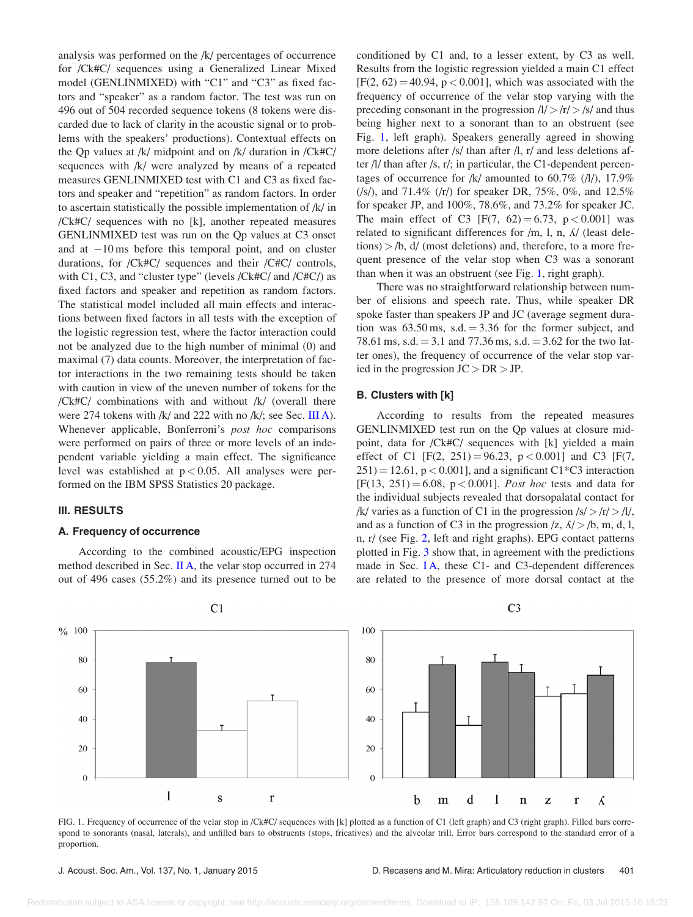<span id="page-4-0"></span>analysis was performed on the /k/ percentages of occurrence for /Ck#C/ sequences using a Generalized Linear Mixed model (GENLINMIXED) with "C1" and "C3" as fixed factors and "speaker" as a random factor. The test was run on 496 out of 504 recorded sequence tokens (8 tokens were discarded due to lack of clarity in the acoustic signal or to problems with the speakers' productions). Contextual effects on the Qp values at /k/ midpoint and on /k/ duration in /Ck#C/ sequences with /k/ were analyzed by means of a repeated measures GENLINMIXED test with C1 and C3 as fixed factors and speaker and "repetition" as random factors. In order to ascertain statistically the possible implementation of /k/ in /Ck#C/ sequences with no [k], another repeated measures GENLINMIXED test was run on the Qp values at C3 onset and at  $-10$  ms before this temporal point, and on cluster durations, for /Ck#C/ sequences and their /C#C/ controls, with C1, C3, and "cluster type" (levels /Ck#C/ and /C#C/) as fixed factors and speaker and repetition as random factors. The statistical model included all main effects and interactions between fixed factors in all tests with the exception of the logistic regression test, where the factor interaction could not be analyzed due to the high number of minimal (0) and maximal (7) data counts. Moreover, the interpretation of factor interactions in the two remaining tests should be taken with caution in view of the uneven number of tokens for the /Ck#C/ combinations with and without /k/ (overall there were 274 tokens with /k/ and 222 with no /k/; see Sec. III A). Whenever applicable, Bonferroni's post hoc comparisons were performed on pairs of three or more levels of an independent variable yielding a main effect. The significance level was established at  $p < 0.05$ . All analyses were performed on the IBM SPSS Statistics 20 package.

# III. RESULTS

### A. Frequency of occurrence

According to the combined acoustic/EPG inspection method described in Sec. [II A](#page-2-0), the velar stop occurred in 274 out of 496 cases (55.2%) and its presence turned out to be conditioned by C1 and, to a lesser extent, by C3 as well. Results from the logistic regression yielded a main C1 effect  $[F(2, 62) = 40.94, p < 0.001]$ , which was associated with the frequency of occurrence of the velar stop varying with the preceding consonant in the progression  $\frac{1}{}$   $\frac{r}{>}$  /s/ and thus being higher next to a sonorant than to an obstruent (see Fig. 1, left graph). Speakers generally agreed in showing more deletions after /s/ than after /l, r/ and less deletions after /l/ than after /s, r/; in particular, the C1-dependent percentages of occurrence for  $/k/$  amounted to 60.7%  $(1/)$ , 17.9% (/s/), and 71.4% (/r/) for speaker DR, 75%, 0%, and 12.5% for speaker JP, and 100%, 78.6%, and 73.2% for speaker JC. The main effect of C3 [F(7, 62) = 6.73, p < 0.001] was related to significant differences for  $/m$ , l, n,  $\Delta$  (least deletions) > /b, d/ (most deletions) and, therefore, to a more frequent presence of the velar stop when C3 was a sonorant than when it was an obstruent (see Fig. 1, right graph).

There was no straightforward relationship between number of elisions and speech rate. Thus, while speaker DR spoke faster than speakers JP and JC (average segment duration was  $63.50 \text{ ms}$ , s.d.  $= 3.36$  for the former subject, and 78.61 ms, s.d.  $= 3.1$  and 77.36 ms, s.d.  $= 3.62$  for the two latter ones), the frequency of occurrence of the velar stop varied in the progression  $JC > DR > JP$ .

## B. Clusters with [k]

According to results from the repeated measures GENLINMIXED test run on the Qp values at closure midpoint, data for /Ck#C/ sequences with [k] yielded a main effect of C1 [F(2, 251) = 96.23,  $p < 0.001$ ] and C3 [F(7,  $251$ ) = 12.61, p < 0.001], and a significant C1\*C3 interaction  $[F(13, 251) = 6.08, p < 0.001]$ . *Post hoc* tests and data for the individual subjects revealed that dorsopalatal contact for /k/ varies as a function of C1 in the progression  $\frac{|s|}{\frac{r}{2}}$  /r/ > /l/, and as a function of C3 in the progression  $\langle z, \Delta \rangle > \langle b, m, d, l,$ n, r/ (see Fig. [2,](#page-5-0) left and right graphs). EPG contact patterns plotted in Fig. [3](#page-5-0) show that, in agreement with the predictions made in Sec. IA, these C1- and C3-dependent differences are related to the presence of more dorsal contact at the

 $C<sub>3</sub>$ 



FIG. 1. Frequency of occurrence of the velar stop in /Ck#C/ sequences with [k] plotted as a function of C1 (left graph) and C3 (right graph). Filled bars correspond to sonorants (nasal, laterals), and unfilled bars to obstruents (stops, fricatives) and the alveolar trill. Error bars correspond to the standard error of a proportion.



J. Acoust. Soc. Am., Vol. 137, No. 1, January 2015 D. Recasens and M. Mira: Articulatory reduction in clusters 401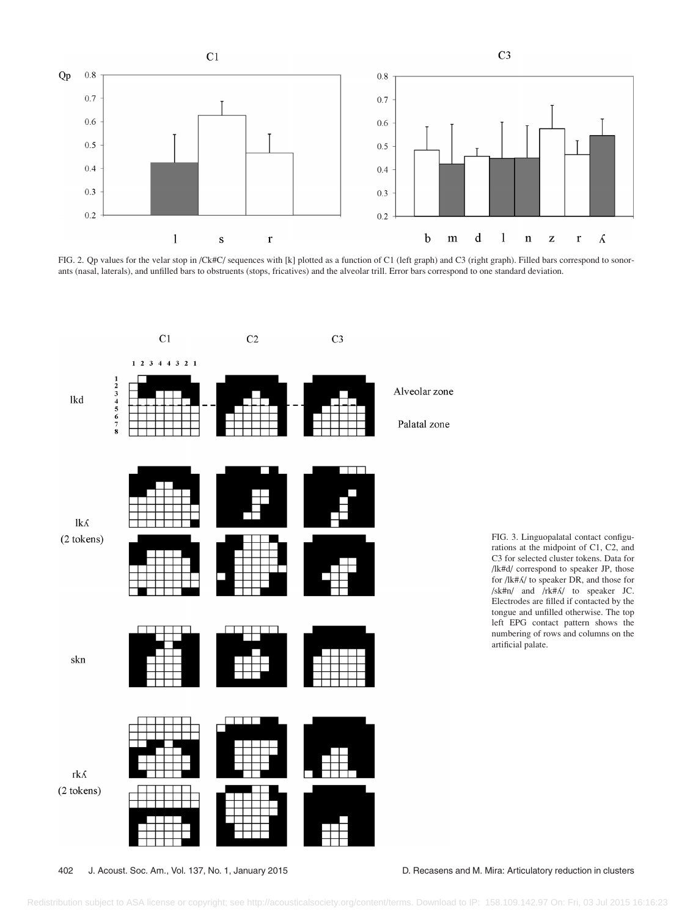<span id="page-5-0"></span>

FIG. 2. Qp values for the velar stop in /Ck#C/ sequences with [k] plotted as a function of C1 (left graph) and C3 (right graph). Filled bars correspond to sonorants (nasal, laterals), and unfilled bars to obstruents (stops, fricatives) and the alveolar trill. Error bars correspond to one standard deviation.



FIG. 3. Linguopalatal contact configurations at the midpoint of C1, C2, and C3 for selected cluster tokens. Data for /lk#d/ correspond to speaker JP, those for /lk#ø/ to speaker DR, and those for /sk#n/ and  $/rk#A/$  to speaker JC. Electrodes are filled if contacted by the tongue and unfilled otherwise. The top left EPG contact pattern shows the numbering of rows and columns on the artificial palate.

402 J. Acoust. Soc. Am., Vol. 137, No. 1, January 2015 D. Recasens and M. Mira: Articulatory reduction in clusters

Redistribution subject to ASA license or copyright; see http://acousticalsociety.org/content/terms. Download to IP: 158.109.142.97 On: Fri, 03 Jul 2015 16:16:23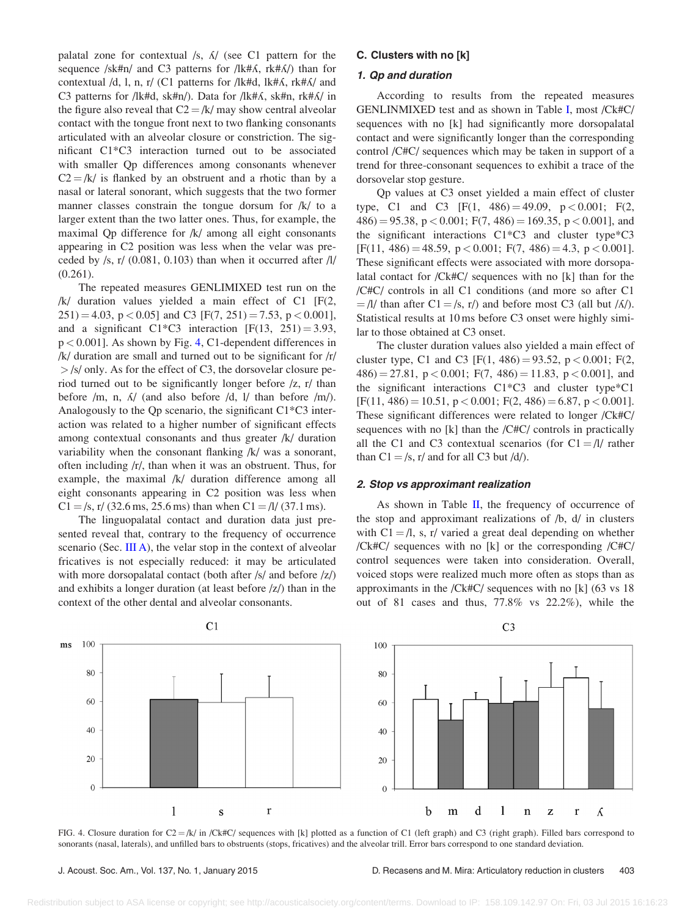<span id="page-6-0"></span>palatal zone for contextual  $/s$ ,  $\Lambda$  (see C1 pattern for the sequence /sk#n/ and C3 patterns for /lk# $\Lambda$ , rk# $\Lambda$ /) than for contextual /d, 1, n, r/ (C1 patterns for /lk#d, lk# $\Lambda$ , rk# $\Lambda$ / and C3 patterns for /lk#d, sk#n/). Data for /lk# $\Lambda$ , sk#n, rk# $\Lambda$ / in the figure also reveal that  $C2 = \frac{1}{k}$  may show central alveolar contact with the tongue front next to two flanking consonants articulated with an alveolar closure or constriction. The significant C1\*C3 interaction turned out to be associated with smaller Qp differences among consonants whenever  $C2 = /k/$  is flanked by an obstruent and a rhotic than by a nasal or lateral sonorant, which suggests that the two former manner classes constrain the tongue dorsum for /k/ to a larger extent than the two latter ones. Thus, for example, the maximal Qp difference for /k/ among all eight consonants appearing in C2 position was less when the velar was preceded by  $\frac{s}{r}$ , r $\frac{s}{r}$  (0.081, 0.103) than when it occurred after  $\frac{n}{r}$ (0.261).

The repeated measures GENLIMIXED test run on the /k/ duration values yielded a main effect of C1 [F(2,  $251$ ) = 4.03, p < 0.05] and C3 [F(7, 251) = 7.53, p < 0.001], and a significant C1\*C3 interaction  $[F(13, 251) = 3.93,$  $p < 0.001$ ]. As shown by Fig. 4, C1-dependent differences in  $/k/d$  duration are small and turned out to be significant for  $/r/d$  $>$ /s/ only. As for the effect of C3, the dorsovelar closure period turned out to be significantly longer before /z, r/ than before  $/m$ , n,  $\Delta/$  (and also before  $/d$ ,  $1/$  than before  $/m/$ ). Analogously to the Qp scenario, the significant C1\*C3 interaction was related to a higher number of significant effects among contextual consonants and thus greater /k/ duration variability when the consonant flanking /k/ was a sonorant, often including /r/, than when it was an obstruent. Thus, for example, the maximal /k/ duration difference among all eight consonants appearing in C2 position was less when  $Cl = /s$ , r/ (32.6 ms, 25.6 ms) than when  $Cl = /l/(37.1 \text{ ms})$ .

The linguopalatal contact and duration data just presented reveal that, contrary to the frequency of occurrence scenario (Sec. [III A\)](#page-4-0), the velar stop in the context of alveolar fricatives is not especially reduced: it may be articulated with more dorsopalatal contact (both after /s/ and before /z/) and exhibits a longer duration (at least before /z/) than in the context of the other dental and alveolar consonants.

## C. Clusters with no [k]

#### 1. Qp and duration

According to results from the repeated measures GENLINMIXED test and as shown in Table [I](#page-7-0), most /Ck#C/ sequences with no [k] had significantly more dorsopalatal contact and were significantly longer than the corresponding control /C#C/ sequences which may be taken in support of a trend for three-consonant sequences to exhibit a trace of the dorsovelar stop gesture.

Qp values at C3 onset yielded a main effect of cluster type, C1 and C3 [F(1, 486) = 49.09, p < 0.001; F(2,  $486$ ) = 95.38, p < 0.001; F(7, 486) = 169.35, p < 0.001], and the significant interactions C1\*C3 and cluster type\*C3  $[F(11, 486) = 48.59, p < 0.001; F(7, 486) = 4.3, p < 0.001].$ These significant effects were associated with more dorsopalatal contact for /Ck#C/ sequences with no [k] than for the /C#C/ controls in all C1 conditions (and more so after C1  $=$  /l/ than after C1 = /s, r/) and before most C3 (all but / $\Lambda$ /). Statistical results at 10 ms before C3 onset were highly similar to those obtained at C3 onset.

The cluster duration values also yielded a main effect of cluster type, C1 and C3 [F(1, 486) = 93.52, p < 0.001; F(2,  $486$ ) = 27.81, p < 0.001; F(7, 486) = 11.83, p < 0.001], and the significant interactions C1\*C3 and cluster type\*C1  $[F(11, 486) = 10.51, p < 0.001; F(2, 486) = 6.87, p < 0.001].$ These significant differences were related to longer /Ck#C/ sequences with no [k] than the /C#C/ controls in practically all the C1 and C3 contextual scenarios (for  $C1 = \frac{1}{\pi}$  rather than  $Cl = /s$ , r/ and for all C3 but /d/).

#### 2. Stop vs approximant realization

As shown in Table [II](#page-7-0), the frequency of occurrence of the stop and approximant realizations of /b, d/ in clusters with  $Cl = /l$ , s, r/ varied a great deal depending on whether /Ck#C/ sequences with no [k] or the corresponding /C#C/ control sequences were taken into consideration. Overall, voiced stops were realized much more often as stops than as approximants in the /Ck#C/ sequences with no [k] (63 vs 18 out of 81 cases and thus, 77.8% vs 22.2%), while the





Redistribution subject to ASA license or copyright; see http://acousticalsociety.org/content/terms. Download to IP: 158.109.142.97 On: Fri, 03 Jul 2015 16:16:23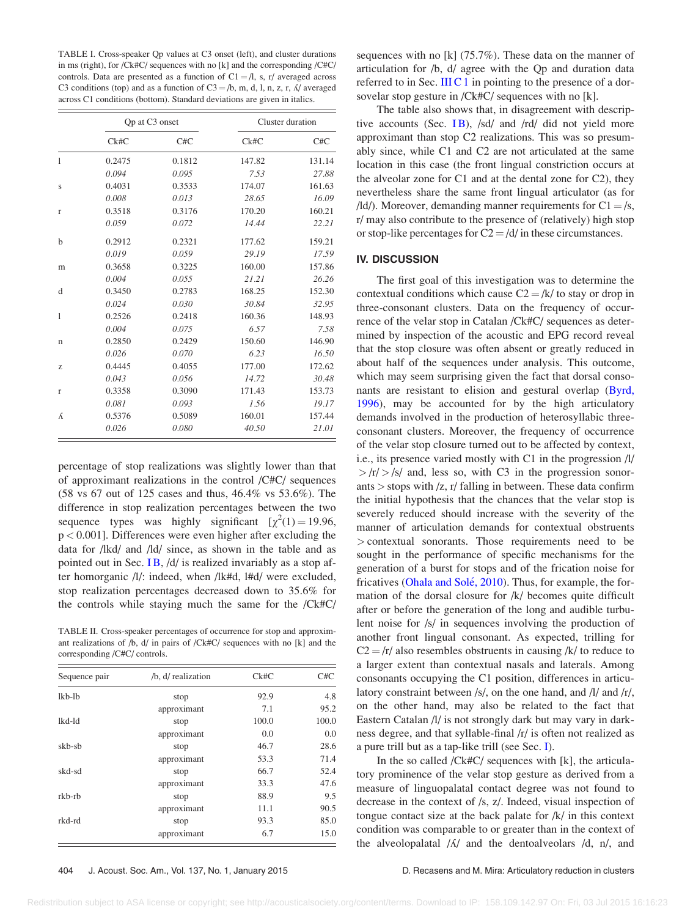<span id="page-7-0"></span>TABLE I. Cross-speaker Qp values at C3 onset (left), and cluster durations in ms (right), for /Ck#C/ sequences with no [k] and the corresponding /C#C/ controls. Data are presented as a function of  $C1 = /l$ , s, r/ averaged across C3 conditions (top) and as a function of  $C_3 = /b$ , m, d, l, n, z, r,  $\Lambda/$  averaged across C1 conditions (bottom). Standard deviations are given in italics.

|   | Qp at C <sub>3</sub> onset |        | Cluster duration |        |
|---|----------------------------|--------|------------------|--------|
|   | Ck#C                       | C#C    | Ck#C             | C#C    |
| 1 | 0.2475                     | 0.1812 | 147.82           | 131.14 |
|   | 0.094                      | 0.095  | 7.53             | 27.88  |
| S | 0.4031                     | 0.3533 | 174.07           | 161.63 |
|   | 0.008                      | 0.013  | 28.65            | 16.09  |
| r | 0.3518                     | 0.3176 | 170.20           | 160.21 |
|   | 0.059                      | 0.072  | 14.44            | 22.21  |
| b | 0.2912                     | 0.2321 | 177.62           | 159.21 |
|   | 0.019                      | 0.059  | 29.19            | 17.59  |
| m | 0.3658                     | 0.3225 | 160.00           | 157.86 |
|   | 0.004                      | 0.055  | 21.21            | 26.26  |
| d | 0.3450                     | 0.2783 | 168.25           | 152.30 |
|   | 0.024                      | 0.030  | 30.84            | 32.95  |
| 1 | 0.2526                     | 0.2418 | 160.36           | 148.93 |
|   | 0.004                      | 0.075  | 6.57             | 7.58   |
| n | 0.2850                     | 0.2429 | 150.60           | 146.90 |
|   | 0.026                      | 0.070  | 6.23             | 16.50  |
| Z | 0.4445                     | 0.4055 | 177.00           | 172.62 |
|   | 0.043                      | 0.056  | 14.72            | 30.48  |
| r | 0.3358                     | 0.3090 | 171.43           | 153.73 |
|   | 0.081                      | 0.093  | 1.56             | 19.17  |
| K | 0.5376                     | 0.5089 | 160.01           | 157.44 |
|   | 0.026                      | 0.080  | 40.50            | 21.01  |

percentage of stop realizations was slightly lower than that of approximant realizations in the control /C#C/ sequences (58 vs 67 out of 125 cases and thus, 46.4% vs 53.6%). The difference in stop realization percentages between the two sequence types was highly significant  $[\chi^2(1) = 19.96,$ p < 0.001]. Differences were even higher after excluding the data for /lkd/ and /ld/ since, as shown in the table and as pointed out in Sec.  $IB$ , /d/ is realized invariably as a stop after homorganic /l/: indeed, when /lk#d, l#d/ were excluded, stop realization percentages decreased down to 35.6% for the controls while staying much the same for the /Ck#C/

TABLE II. Cross-speaker percentages of occurrence for stop and approximant realizations of /b, d/ in pairs of /Ck#C/ sequences with no [k] and the corresponding /C#C/ controls.

| Sequence pair | /b, d/ realization | Ck#C  | C#C   |
|---------------|--------------------|-------|-------|
| $1kh-1h$      | stop               | 92.9  | 4.8   |
|               | approximant        | 7.1   | 95.2  |
| lkd-ld        | stop               | 100.0 | 100.0 |
|               | approximant        | 0.0   | 0.0   |
| skb-sb        | stop               | 46.7  | 28.6  |
|               | approximant        | 53.3  | 71.4  |
| skd-sd        | stop               | 66.7  | 52.4  |
|               | approximant        | 33.3  | 47.6  |
| rkb-rb        | stop               | 88.9  | 9.5   |
|               | approximant        | 11.1  | 90.5  |
| rkd-rd        | stop               | 93.3  | 85.0  |
|               | approximant        | 6.7   | 15.0  |

sequences with no [k] (75.7%). These data on the manner of articulation for /b, d/ agree with the Qp and duration data referred to in Sec. [III C 1](#page-6-0) in pointing to the presence of a dorsovelar stop gesture in /Ck#C/ sequences with no [k].

The table also shows that, in disagreement with descriptive accounts (Sec.  $IB$ ), /sd/ and /rd/ did not yield more approximant than stop C2 realizations. This was so presumably since, while C1 and C2 are not articulated at the same location in this case (the front lingual constriction occurs at the alveolar zone for C1 and at the dental zone for C2), they nevertheless share the same front lingual articulator (as for /ld/). Moreover, demanding manner requirements for  $C1 = /s$ , r/ may also contribute to the presence of (relatively) high stop or stop-like percentages for  $C2 = /d/$  in these circumstances.

### IV. DISCUSSION

The first goal of this investigation was to determine the contextual conditions which cause  $C2 = \frac{k}{\pi}$  to stay or drop in three-consonant clusters. Data on the frequency of occurrence of the velar stop in Catalan /Ck#C/ sequences as determined by inspection of the acoustic and EPG record reveal that the stop closure was often absent or greatly reduced in about half of the sequences under analysis. This outcome, which may seem surprising given the fact that dorsal consonants are resistant to elision and gestural overlap ([Byrd,](#page-8-0) [1996\)](#page-8-0), may be accounted for by the high articulatory demands involved in the production of heterosyllabic threeconsonant clusters. Moreover, the frequency of occurrence of the velar stop closure turned out to be affected by context, i.e., its presence varied mostly with C1 in the progression /l/  $>$  /r/  $>$  /s/ and, less so, with C3 in the progression sonorants  $>$  stops with  $\frac{z}{r}$ ,  $\frac{r}{\theta}$  falling in between. These data confirm the initial hypothesis that the chances that the velar stop is severely reduced should increase with the severity of the manner of articulation demands for contextual obstruents > contextual sonorants. Those requirements need to be sought in the performance of specific mechanisms for the generation of a burst for stops and of the frication noise for fricatives [\(Ohala and Sol](#page-8-0)é, 2010). Thus, for example, the formation of the dorsal closure for /k/ becomes quite difficult after or before the generation of the long and audible turbulent noise for /s/ in sequences involving the production of another front lingual consonant. As expected, trilling for  $C2 = |r|$  also resembles obstruents in causing  $|k|$  to reduce to a larger extent than contextual nasals and laterals. Among consonants occupying the C1 position, differences in articulatory constraint between /s/, on the one hand, and /l/ and /r/, on the other hand, may also be related to the fact that Eastern Catalan /l/ is not strongly dark but may vary in darkness degree, and that syllable-final /r/ is often not realized as a pure trill but as a tap-like trill (see Sec. [I](#page-0-0)).

In the so called /Ck#C/ sequences with [k], the articulatory prominence of the velar stop gesture as derived from a measure of linguopalatal contact degree was not found to decrease in the context of /s, z/. Indeed, visual inspection of tongue contact size at the back palate for /k/ in this context condition was comparable to or greater than in the context of the alveolopalatal  $/\Delta/$  and the dentoalveolars  $/d$ ,  $n/$ , and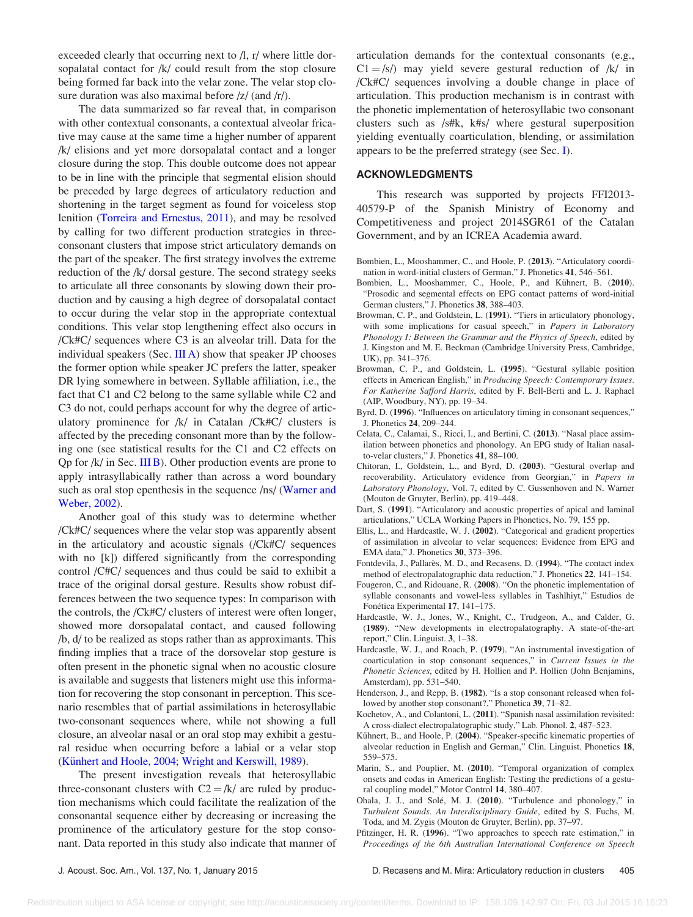<span id="page-8-0"></span>exceeded clearly that occurring next to /l, r/ where little dorsopalatal contact for /k/ could result from the stop closure being formed far back into the velar zone. The velar stop closure duration was also maximal before  $|z|$  (and  $|r|$ ).

The data summarized so far reveal that, in comparison with other contextual consonants, a contextual alveolar fricative may cause at the same time a higher number of apparent /k/ elisions and yet more dorsopalatal contact and a longer closure during the stop. This double outcome does not appear to be in line with the principle that segmental elision should be preceded by large degrees of articulatory reduction and shortening in the target segment as found for voiceless stop lenition ([Torreira and Ernestus, 2011\)](#page-9-0), and may be resolved by calling for two different production strategies in threeconsonant clusters that impose strict articulatory demands on the part of the speaker. The first strategy involves the extreme reduction of the /k/ dorsal gesture. The second strategy seeks to articulate all three consonants by slowing down their production and by causing a high degree of dorsopalatal contact to occur during the velar stop in the appropriate contextual conditions. This velar stop lengthening effect also occurs in /Ck#C/ sequences where C3 is an alveolar trill. Data for the individual speakers (Sec. [III A](#page-4-0)) show that speaker JP chooses the former option while speaker JC prefers the latter, speaker DR lying somewhere in between. Syllable affiliation, i.e., the fact that C1 and C2 belong to the same syllable while C2 and C3 do not, could perhaps account for why the degree of articulatory prominence for /k/ in Catalan /Ck#C/ clusters is affected by the preceding consonant more than by the following one (see statistical results for the C1 and C2 effects on Qp for /k/ in Sec. [III B\)](#page-4-0). Other production events are prone to apply intrasyllabically rather than across a word boundary such as oral stop epenthesis in the sequence /ns/ [\(Warner and](#page-9-0) [Weber, 2002\)](#page-9-0).

Another goal of this study was to determine whether /Ck#C/ sequences where the velar stop was apparently absent in the articulatory and acoustic signals (/Ck#C/ sequences with no [k]) differed significantly from the corresponding control /C#C/ sequences and thus could be said to exhibit a trace of the original dorsal gesture. Results show robust differences between the two sequence types: In comparison with the controls, the /Ck#C/ clusters of interest were often longer, showed more dorsopalatal contact, and caused following /b, d/ to be realized as stops rather than as approximants. This finding implies that a trace of the dorsovelar stop gesture is often present in the phonetic signal when no acoustic closure is available and suggests that listeners might use this information for recovering the stop consonant in perception. This scenario resembles that of partial assimilations in heterosyllabic two-consonant sequences where, while not showing a full closure, an alveolar nasal or an oral stop may exhibit a gestural residue when occurring before a labial or a velar stop (Künhert and Hoole, 2004; [Wright and Kerswill, 1989\)](#page-9-0).

The present investigation reveals that heterosyllabic three-consonant clusters with  $C2 = \frac{1}{k}$  are ruled by production mechanisms which could facilitate the realization of the consonantal sequence either by decreasing or increasing the prominence of the articulatory gesture for the stop consonant. Data reported in this study also indicate that manner of articulation demands for the contextual consonants (e.g.,  $Cl = /s$ ) may yield severe gestural reduction of  $/k/$  in /Ck#C/ sequences involving a double change in place of articulation. This production mechanism is in contrast with the phonetic implementation of heterosyllabic two consonant clusters such as /s#k, k#s/ where gestural superposition yielding eventually coarticulation, blending, or assimilation appears to be the preferred strategy (see Sec. [I](#page-0-0)).

## ACKNOWLEDGMENTS

This research was supported by projects FFI2013- 40579-P of the Spanish Ministry of Economy and Competitiveness and project 2014SGR61 of the Catalan Government, and by an ICREA Academia award.

- Bombien, L., Mooshammer, C., and Hoole, P. (2013). "Articulatory coordination in word-initial clusters of German," J. Phonetics 41, 546–561.
- Bombien, L., Mooshammer, C., Hoole, P., and Kühnert, B. (2010). "Prosodic and segmental effects on EPG contact patterns of word-initial German clusters," J. Phonetics 38, 388–403.
- Browman, C. P., and Goldstein, L. (1991). "Tiers in articulatory phonology, with some implications for casual speech," in Papers in Laboratory Phonology I: Between the Grammar and the Physics of Speech, edited by J. Kingston and M. E. Beckman (Cambridge University Press, Cambridge, UK), pp. 341–376.
- Browman, C. P., and Goldstein, L. (1995). "Gestural syllable position effects in American English," in Producing Speech: Contemporary Issues. For Katherine Safford Harris, edited by F. Bell-Berti and L. J. Raphael (AIP, Woodbury, NY), pp. 19–34.
- Byrd, D. (1996). "Influences on articulatory timing in consonant sequences," J. Phonetics 24, 209–244.
- Celata, C., Calamai, S., Ricci, I., and Bertini, C. (2013). "Nasal place assimilation between phonetics and phonology. An EPG study of Italian nasalto-velar clusters," J. Phonetics 41, 88–100.
- Chitoran, I., Goldstein, L., and Byrd, D. (2003). "Gestural overlap and recoverability. Articulatory evidence from Georgian," in Papers in Laboratory Phonology, Vol. 7, edited by C. Gussenhoven and N. Warner (Mouton de Gruyter, Berlin), pp. 419–448.
- Dart, S. (1991). "Articulatory and acoustic properties of apical and laminal articulations," UCLA Working Papers in Phonetics, No. 79, 155 pp.
- Ellis, L., and Hardcastle, W. J. (2002). "Categorical and gradient properties of assimilation in alveolar to velar sequences: Evidence from EPG and EMA data," J. Phonetics 30, 373–396.
- Fontdevila, J., Pallarès, M. D., and Recasens, D. (1994). "The contact index method of electropalatographic data reduction," J. Phonetics 22, 141–154.
- Fougeron, C., and Ridouane, R. (2008). "On the phonetic implementation of syllable consonants and vowel-less syllables in Tashlhiyt," Estudios de Fonética Experimental 17, 141–175.
- Hardcastle, W. J., Jones, W., Knight, C., Trudgeon, A., and Calder, G. (1989). "New developments in electropalatography. A state-of-the-art report," Clin. Linguist. 3, 1–38.
- Hardcastle, W. J., and Roach, P. (1979). "An instrumental investigation of coarticulation in stop consonant sequences," in Current Issues in the Phonetic Sciences, edited by H. Hollien and P. Hollien (John Benjamins, Amsterdam), pp. 531–540.
- Henderson, J., and Repp, B. (1982). "Is a stop consonant released when followed by another stop consonant?," Phonetica 39, 71–82.
- Kochetov, A., and Colantoni, L. (2011). "Spanish nasal assimilation revisited: A cross-dialect electropalatographic study," Lab. Phonol. 2, 487–523.
- Kühnert, B., and Hoole, P. (2004). "Speaker-specific kinematic properties of alveolar reduction in English and German," Clin. Linguist. Phonetics 18, 559–575.
- Marin, S., and Pouplier, M. (2010). "Temporal organization of complex onsets and codas in American English: Testing the predictions of a gestural coupling model," Motor Control 14, 380–407.
- Ohala, J. J., and Solé, M. J. (2010). "Turbulence and phonology," in Turbulent Sounds. An Interdisciplinary Guide, edited by S. Fuchs, M. Toda, and M. Zygis (Mouton de Gruyter, Berlin), pp. 37–97.
- Pfitzinger, H. R. (1996). "Two approaches to speech rate estimation," in Proceedings of the 6th Australian International Conference on Speech

J. Acoust. Soc. Am., Vol. 137, No. 1, January 2015 D. Recasens and M. Mira: Articulatory reduction in clusters 405